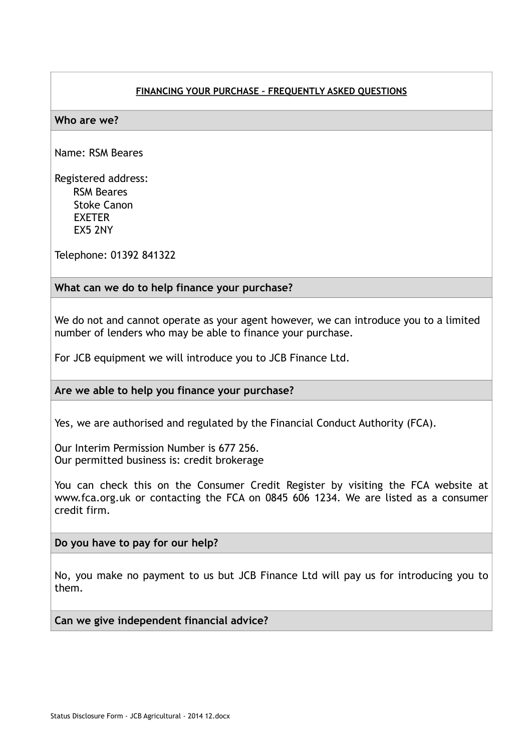# **FINANCING YOUR PURCHASE – FREQUENTLY ASKED QUESTIONS**

### **Who are we?**

Name: RSM Beares

Registered address: RSM Beares Stoke Canon EXETER EX5 2NY

Telephone: 01392 841322

## **What can we do to help finance your purchase?**

We do not and cannot operate as your agent however, we can introduce you to a limited number of lenders who may be able to finance your purchase.

For JCB equipment we will introduce you to JCB Finance Ltd.

### **Are we able to help you finance your purchase?**

Yes, we are authorised and regulated by the Financial Conduct Authority (FCA).

Our Interim Permission Number is 677 256. Our permitted business is: credit brokerage

You can check this on the Consumer Credit Register by visiting the FCA website at www.fca.org.uk or contacting the FCA on 0845 606 1234. We are listed as a consumer credit firm.

**Do you have to pay for our help?**

No, you make no payment to us but JCB Finance Ltd will pay us for introducing you to them.

**Can we give independent financial advice?**